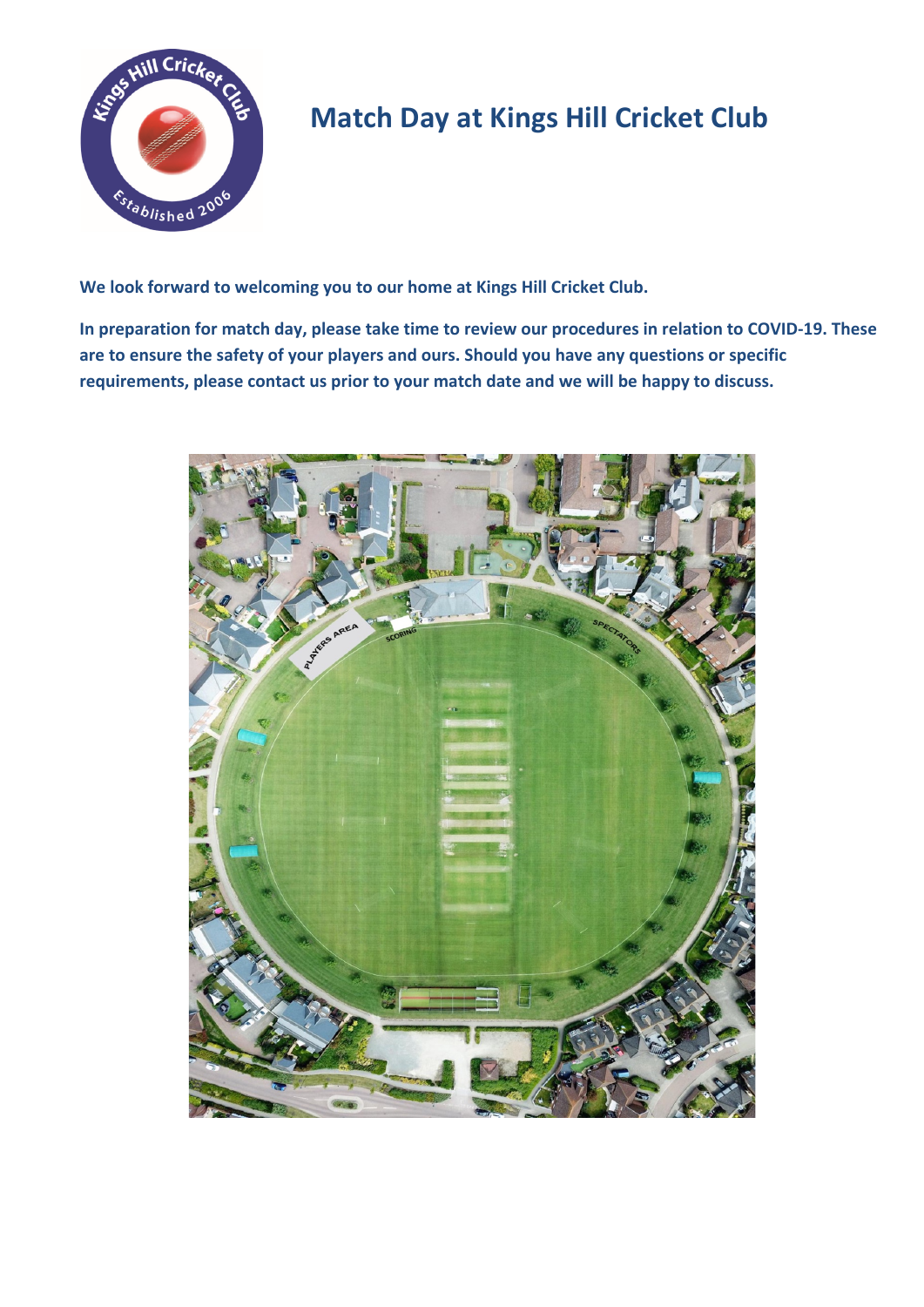

## **Match Day at Kings Hill Cricket Club**

**We look forward to welcoming you to our home at Kings Hill Cricket Club.** 

**In preparation for match day, please take time to review our procedures in relation to COVID-19. These are to ensure the safety of your players and ours. Should you have any questions or specific requirements, please contact us prior to your match date and we will be happy to discuss.**